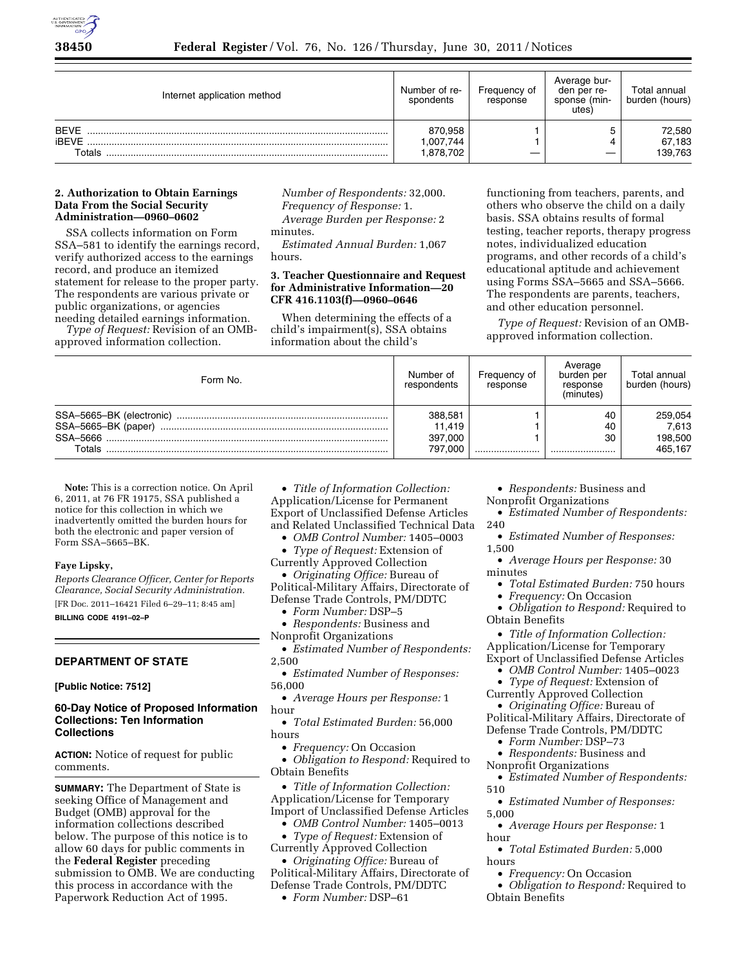

| Internet application method           | Number of re-<br>spondents       | Frequency of<br>response | Average bur-<br>den per re-<br>sponse (min-<br>utes) | Total annual<br>burden (hours) |
|---------------------------------------|----------------------------------|--------------------------|------------------------------------------------------|--------------------------------|
| <b>BFVF</b><br><b>iBFVF</b><br>Totals | 870.958<br>,007,744<br>1.878.702 |                          |                                                      | 72,580<br>67,183<br>139,763    |

### **2. Authorization to Obtain Earnings Data From the Social Security Administration—0960–0602**

SSA collects information on Form SSA–581 to identify the earnings record, verify authorized access to the earnings record, and produce an itemized statement for release to the proper party. The respondents are various private or public organizations, or agencies needing detailed earnings information.

*Type of Request:* Revision of an OMBapproved information collection.

*Number of Respondents:* 32,000. *Frequency of Response:* 1. *Average Burden per Response:* 2 minutes.

*Estimated Annual Burden:* 1,067 hours.

## **3. Teacher Questionnaire and Request for Administrative Information—20 CFR 416.1103(f)—0960–0646**

When determining the effects of a child's impairment(s), SSA obtains information about the child's

functioning from teachers, parents, and others who observe the child on a daily basis. SSA obtains results of formal testing, teacher reports, therapy progress notes, individualized education programs, and other records of a child's educational aptitude and achievement using Forms SSA–5665 and SSA–5666. The respondents are parents, teachers, and other education personnel.

*Type of Request:* Revision of an OMBapproved information collection.

| Form No.                                                  | Number of<br>respondents                | Frequency of<br>response | Average<br>burden per<br>response<br>(minutes) | Total annual<br>burden (hours)         |
|-----------------------------------------------------------|-----------------------------------------|--------------------------|------------------------------------------------|----------------------------------------|
| SSA-5665-BK (electronic)<br>SSA-5665-BK (paper)<br>Totals | 388,581<br>11.419<br>397,000<br>797,000 |                          | 40<br>40<br>30<br>                             | 259,054<br>7,613<br>198,500<br>465,167 |

**Note:** This is a correction notice. On April 6, 2011, at 76 FR 19175, SSA published a notice for this collection in which we inadvertently omitted the burden hours for both the electronic and paper version of Form SSA–5665–BK.

### **Faye Lipsky,**

*Reports Clearance Officer, Center for Reports Clearance, Social Security Administration.*  [FR Doc. 2011–16421 Filed 6–29–11; 8:45 am] **BILLING CODE 4191–02–P** 

## **DEPARTMENT OF STATE**

**[Public Notice: 7512]** 

### **60-Day Notice of Proposed Information Collections: Ten Information Collections**

**ACTION:** Notice of request for public comments.

**SUMMARY:** The Department of State is seeking Office of Management and Budget (OMB) approval for the information collections described below. The purpose of this notice is to allow 60 days for public comments in the **Federal Register** preceding submission to OMB. We are conducting this process in accordance with the Paperwork Reduction Act of 1995.

• *Title of Information Collection:*  Application/License for Permanent Export of Unclassified Defense Articles and Related Unclassified Technical Data

- *OMB Control Number:* 1405–0003
- *Type of Request:* Extension of Currently Approved Collection

• *Originating Office:* Bureau of Political-Military Affairs, Directorate of Defense Trade Controls, PM/DDTC

• *Form Number:* DSP–5

• *Respondents:* Business and

Nonprofit Organizations

• *Estimated Number of Respondents:*  2,500

• *Estimated Number of Responses:*  56,000

• *Average Hours per Response:* 1 hour

• *Total Estimated Burden:* 56,000 hours

• *Frequency:* On Occasion

• *Obligation to Respond:* Required to Obtain Benefits

• *Title of Information Collection:*  Application/License for Temporary Import of Unclassified Defense Articles

• *OMB Control Number:* 1405–0013

• *Type of Request:* Extension of Currently Approved Collection

• *Originating Office:* Bureau of Political-Military Affairs, Directorate of Defense Trade Controls, PM/DDTC

• *Form Number:* DSP–61

• *Respondents:* Business and Nonprofit Organizations

• *Estimated Number of Respondents:*  240

• *Estimated Number of Responses:*  1,500

• *Average Hours per Response:* 30 minutes

• *Total Estimated Burden:* 750 hours

• *Frequency:* On Occasion

• *Obligation to Respond:* Required to Obtain Benefits

• *Title of Information Collection:*  Application/License for Temporary Export of Unclassified Defense Articles

• *OMB Control Number:* 1405–0023

• *Type of Request:* Extension of Currently Approved Collection

• *Originating Office:* Bureau of Political-Military Affairs, Directorate of Defense Trade Controls, PM/DDTC

• *Form Number:* DSP–73

• *Respondents:* Business and

Nonprofit Organizations

• *Estimated Number of Respondents:*  510

• *Estimated Number of Responses:*  5,000

• *Average Hours per Response:* 1 hour

• *Total Estimated Burden:* 5,000 hours

• *Frequency:* On Occasion

• *Obligation to Respond:* Required to Obtain Benefits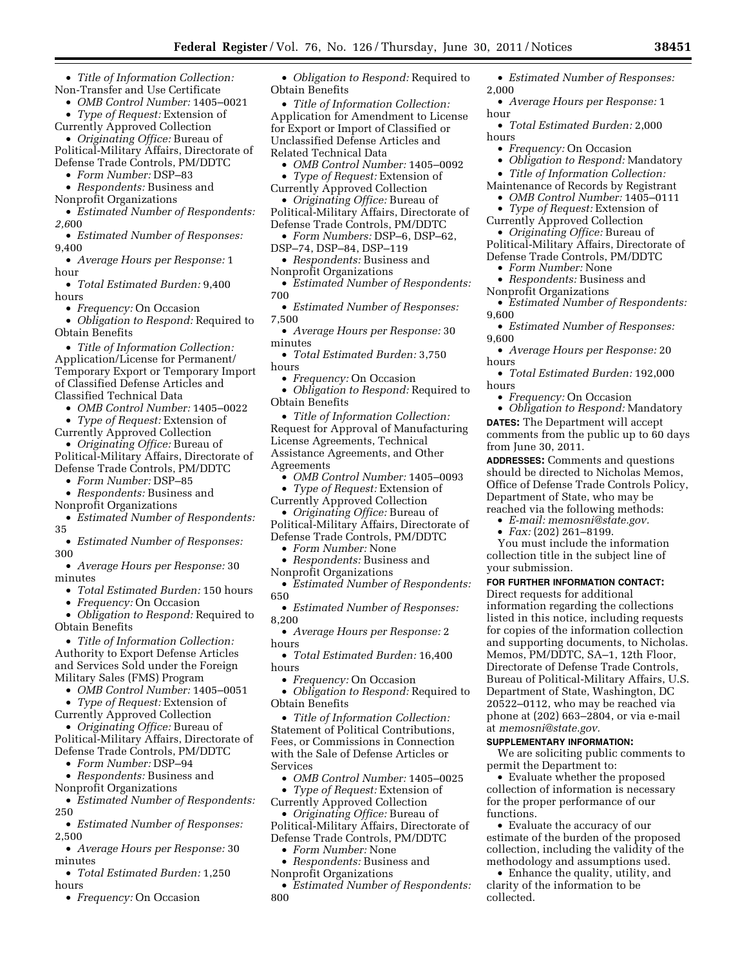- *Title of Information Collection:*  Non-Transfer and Use Certificate
	- *OMB Control Number:* 1405–0021

• *Type of Request:* Extension of Currently Approved Collection

• *Originating Office:* Bureau of Political-Military Affairs, Directorate of Defense Trade Controls, PM/DDTC

• *Form Number:* DSP–83

• *Respondents:* Business and

Nonprofit Organizations

• *Estimated Number of Respondents: 2,6*00

• *Estimated Number of Responses:*  9,400

• *Average Hours per Response:* 1 hour

• *Total Estimated Burden:* 9,400 hours

• *Frequency:* On Occasion

• *Obligation to Respond:* Required to Obtain Benefits

• *Title of Information Collection:*  Application/License for Permanent/ Temporary Export or Temporary Import of Classified Defense Articles and Classified Technical Data

• *OMB Control Number:* 1405–0022

• *Type of Request:* Extension of Currently Approved Collection

• *Originating Office:* Bureau of Political-Military Affairs, Directorate of Defense Trade Controls, PM/DDTC

• *Form Number:* DSP–85

• *Respondents:* Business and

Nonprofit Organizations • *Estimated Number of Respondents:* 

35 • *Estimated Number of Responses:*  300

• *Average Hours per Response:* 30 minutes

• *Total Estimated Burden:* 150 hours

• *Frequency:* On Occasion

• *Obligation to Respond:* Required to Obtain Benefits

• *Title of Information Collection:*  Authority to Export Defense Articles and Services Sold under the Foreign Military Sales (FMS) Program

• *OMB Control Number:* 1405–0051

• *Type of Request:* Extension of Currently Approved Collection

• *Originating Office:* Bureau of Political-Military Affairs, Directorate of Defense Trade Controls, PM/DDTC

• *Form Number:* DSP–94

• *Respondents:* Business and

Nonprofit Organizations • *Estimated Number of Respondents:* 

250 • *Estimated Number of Responses:* 

2,500

• *Average Hours per Response:* 30 minutes

• *Total Estimated Burden:* 1,250 hours

• *Frequency:* On Occasion

• *Obligation to Respond:* Required to Obtain Benefits

• *Title of Information Collection:*  Application for Amendment to License for Export or Import of Classified or Unclassified Defense Articles and Related Technical Data

• *OMB Control Number:* 1405–0092

- *Type of Request:* Extension of
- Currently Approved Collection

• *Originating Office:* Bureau of Political-Military Affairs, Directorate of Defense Trade Controls, PM/DDTC

• *Form Numbers:* DSP–6, DSP–62, DSP–74, DSP–84, DSP–119

• *Respondents:* Business and

Nonprofit Organizations • *Estimated Number of Respondents:* 

700

• *Estimated Number of Responses:*  7,500

• *Average Hours per Response:* 30 minutes

• *Total Estimated Burden:* 3,750 hours

• *Frequency:* On Occasion

• *Obligation to Respond:* Required to Obtain Benefits

• *Title of Information Collection:*  Request for Approval of Manufacturing License Agreements, Technical Assistance Agreements, and Other Agreements

• *OMB Control Number:* 1405–0093

• *Type of Request:* Extension of

Currently Approved Collection • *Originating Office:* Bureau of

Political-Military Affairs, Directorate of Defense Trade Controls, PM/DDTC

• *Form Number:* None

• *Respondents:* Business and Nonprofit Organizations

• *Estimated Number of Respondents:*  650

• *Estimated Number of Responses:*  8,200

• *Average Hours per Response:* 2 hours

• *Total Estimated Burden:* 16,400 hours

• *Frequency:* On Occasion

• *Obligation to Respond:* Required to Obtain Benefits

• *Title of Information Collection:*  Statement of Political Contributions, Fees, or Commissions in Connection with the Sale of Defense Articles or Services

• *OMB Control Number:* 1405–0025

• *Type of Request:* Extension of Currently Approved Collection • *Originating Office:* Bureau of Political-Military Affairs, Directorate of

Defense Trade Controls, PM/DDTC • *Form Number:* None

• *Respondents:* Business and Nonprofit Organizations

• *Estimated Number of Respondents:*  800

• *Estimated Number of Responses:*  2,000

• *Average Hours per Response:* 1 hour

• *Total Estimated Burden:* 2,000 hours

- *Frequency:* On Occasion
- *Obligation to Respond:* Mandatory
- *Title of Information Collection:*

Maintenance of Records by Registrant • *OMB Control Number:* 1405–0111

• *Type of Request:* Extension of Currently Approved Collection

• *Originating Office:* Bureau of

Political-Military Affairs, Directorate of Defense Trade Controls, PM/DDTC

• *Form Number:* None

- *Respondents:* Business and Nonprofit Organizations
- *Estimated Number of Respondents:*  9,600

• *Estimated Number of Responses:*  9,600

• *Average Hours per Response:* 20 hours

• *Total Estimated Burden:* 192,000 hours

• *Frequency:* On Occasion

• *Obligation to Respond:* Mandatory **DATES:** The Department will accept comments from the public up to 60 days from June 30, 2011.

**ADDRESSES:** Comments and questions should be directed to Nicholas Memos, Office of Defense Trade Controls Policy, Department of State, who may be reached via the following methods:

• *E-mail: [memosni@state.gov.](mailto:memosni@state.gov)* 

• *Fax:* (202) 261–8199.

You must include the information collection title in the subject line of your submission.

**FOR FURTHER INFORMATION CONTACT:**  Direct requests for additional information regarding the collections listed in this notice, including requests for copies of the information collection and supporting documents, to Nicholas. Memos, PM/DDTC, SA–1, 12th Floor, Directorate of Defense Trade Controls, Bureau of Political-Military Affairs, U.S. Department of State, Washington, DC 20522–0112, who may be reached via phone at (202) 663–2804, or via e-mail at *[memosni@state.gov.](mailto:memosni@state.gov)* 

#### **SUPPLEMENTARY INFORMATION:**

We are soliciting public comments to permit the Department to:

• Evaluate whether the proposed collection of information is necessary for the proper performance of our functions.

• Evaluate the accuracy of our estimate of the burden of the proposed collection, including the validity of the methodology and assumptions used.

• Enhance the quality, utility, and clarity of the information to be collected.